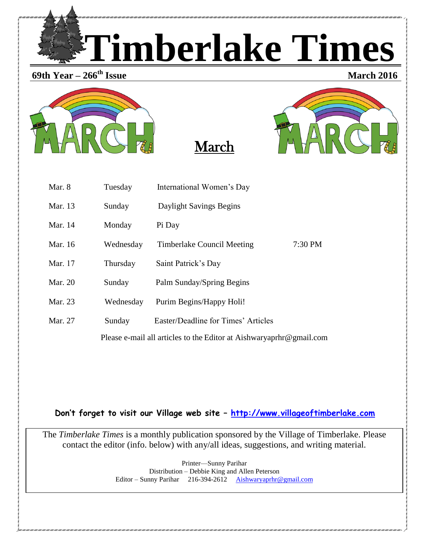

**69th Year – 266**







**March** 2016

| Mar. 8                                                              | Tuesday   | International Women's Day           |           |  |
|---------------------------------------------------------------------|-----------|-------------------------------------|-----------|--|
| Mar. 13                                                             | Sunday    | Daylight Savings Begins             |           |  |
| Mar. 14                                                             | Monday    | Pi Day                              |           |  |
| Mar. 16                                                             | Wednesday | Timberlake Council Meeting          | $7:30$ PM |  |
| Mar. 17                                                             | Thursday  | Saint Patrick's Day                 |           |  |
| Mar. 20                                                             | Sunday    | Palm Sunday/Spring Begins           |           |  |
| Mar. 23                                                             | Wednesday | Purim Begins/Happy Holi!            |           |  |
| Mar. 27                                                             | Sunday    | Easter/Deadline for Times' Articles |           |  |
| Please e-mail all articles to the Editor at Aishwaryaprhr@gmail.com |           |                                     |           |  |

**Don't forget to visit our Village web site – [http://www.villageoftimberlake.com](http://www.villageoftimberlake.com/)** 

The *Timberlake Times* is a monthly publication sponsored by the Village of Timberlake. Please contact the editor (info. below) with any/all ideas, suggestions, and writing material.

> Printer—Sunny Parihar Distribution – Debbie King and Allen Peterson Editor – Sunny Parihar 216-394-2612 [Aishwaryaprhr@gmail.com](mailto:Aishwaryaprhr@gmail.com)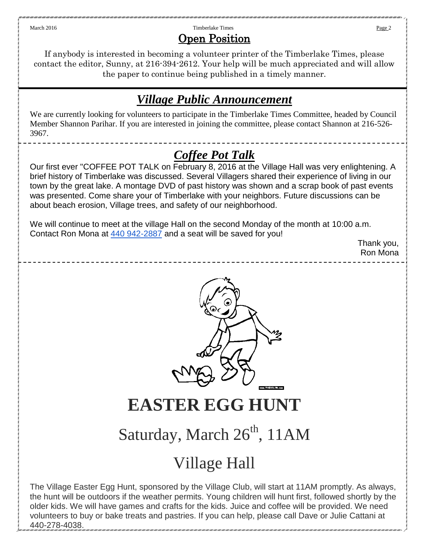## March 2016 **Page 2 Timberlake Times Timberlake Times Page 2 Page 2 Page 2** Open Position

If anybody is interested in becoming a volunteer printer of the Timberlake Times, please contact the editor, Sunny, at 216-394-2612. Your help will be much appreciated and will allow the paper to continue being published in a timely manner.

# *Village Public Announcement*

We are currently looking for volunteers to participate in the Timberlake Times Committee, headed by Council Member Shannon Parihar. If you are interested in joining the committee, please contact Shannon at 216-526- 3967.

# *Coffee Pot Talk*

Our first ever "COFFEE POT TALK on February 8, 2016 at the Village Hall was very enlightening. A brief history of Timberlake was discussed. Several Villagers shared their experience of living in our town by the great lake. A montage DVD of past history was shown and a scrap book of past events was presented. Come share your of Timberlake with your neighbors. Future discussions can be about beach erosion, Village trees, and safety of our neighborhood.

We will continue to meet at the village Hall on the second Monday of the month at 10:00 a.m. Contact Ron Mona at [440 942-2887](tel:440%20942-2887) and a seat will be saved for you!

Thank you, Ron Mona



**EASTER EGG HUNT**

# Saturday, March  $26<sup>th</sup>$ , 11AM

# Village Hall

The Village Easter Egg Hunt, sponsored by the Village Club, will start at 11AM promptly. As always, the hunt will be outdoors if the weather permits. Young children will hunt first, followed shortly by the older kids. We will have games and crafts for the kids. Juice and coffee will be provided. We need volunteers to buy or bake treats and pastries. If you can help, please call Dave or Julie Cattani at 440-278-4038.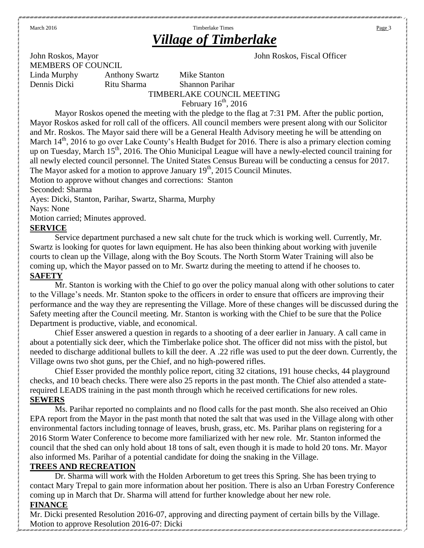# March 2016 **Page 3 Contract 2016** Timberlake Times **Page 3 Page 3** *Village of Timberlake*

John Roskos, Mayor John Roskos, Fiscal Officer MEMBERS OF COUNCIL

Dennis Dicki Ritu Sharma Shannon Parihar

Linda Murphy Anthony Swartz Mike Stanton TIMBERLAKE COUNCIL MEETING February  $16<sup>th</sup>$ , 2016

Mayor Roskos opened the meeting with the pledge to the flag at 7:31 PM. After the public portion, Mayor Roskos asked for roll call of the officers. All council members were present along with our Solicitor and Mr. Roskos. The Mayor said there will be a General Health Advisory meeting he will be attending on March  $14<sup>th</sup>$ , 2016 to go over Lake County's Health Budget for 2016. There is also a primary election coming up on Tuesday, March 15<sup>th</sup>, 2016. The Ohio Municipal League will have a newly-elected council training for all newly elected council personnel. The United States Census Bureau will be conducting a census for 2017. The Mayor asked for a motion to approve January  $19<sup>th</sup>$ , 2015 Council Minutes.

Motion to approve without changes and corrections: Stanton

Seconded: Sharma

Ayes: Dicki, Stanton, Parihar, Swartz, Sharma, Murphy

Nays: None

Motion carried; Minutes approved.

## **SERVICE**

Service department purchased a new salt chute for the truck which is working well. Currently, Mr. Swartz is looking for quotes for lawn equipment. He has also been thinking about working with juvenile courts to clean up the Village, along with the Boy Scouts. The North Storm Water Training will also be coming up, which the Mayor passed on to Mr. Swartz during the meeting to attend if he chooses to. **SAFETY**

Mr. Stanton is working with the Chief to go over the policy manual along with other solutions to cater to the Village's needs. Mr. Stanton spoke to the officers in order to ensure that officers are improving their performance and the way they are representing the Village. More of these changes will be discussed during the Safety meeting after the Council meeting. Mr. Stanton is working with the Chief to be sure that the Police Department is productive, viable, and economical.

Chief Esser answered a question in regards to a shooting of a deer earlier in January. A call came in about a potentially sick deer, which the Timberlake police shot. The officer did not miss with the pistol, but needed to discharge additional bullets to kill the deer. A .22 rifle was used to put the deer down. Currently, the Village owns two shot guns, per the Chief, and no high-powered rifles.

Chief Esser provided the monthly police report, citing 32 citations, 191 house checks, 44 playground checks, and 10 beach checks. There were also 25 reports in the past month. The Chief also attended a staterequired LEADS training in the past month through which he received certifications for new roles. **SEWERS**

Ms. Parihar reported no complaints and no flood calls for the past month. She also received an Ohio EPA report from the Mayor in the past month that noted the salt that was used in the Village along with other environmental factors including tonnage of leaves, brush, grass, etc. Ms. Parihar plans on registering for a 2016 Storm Water Conference to become more familiarized with her new role. Mr. Stanton informed the council that the shed can only hold about 18 tons of salt, even though it is made to hold 20 tons. Mr. Mayor also informed Ms. Parihar of a potential candidate for doing the snaking in the Village.

## **TREES AND RECREATION**

Dr. Sharma will work with the Holden Arboretum to get trees this Spring. She has been trying to contact Mary Trepal to gain more information about her position. There is also an Urban Forestry Conference coming up in March that Dr. Sharma will attend for further knowledge about her new role.

## **FINANCE**

Mr. Dicki presented Resolution 2016-07, approving and directing payment of certain bills by the Village. Motion to approve Resolution 2016-07: Dicki